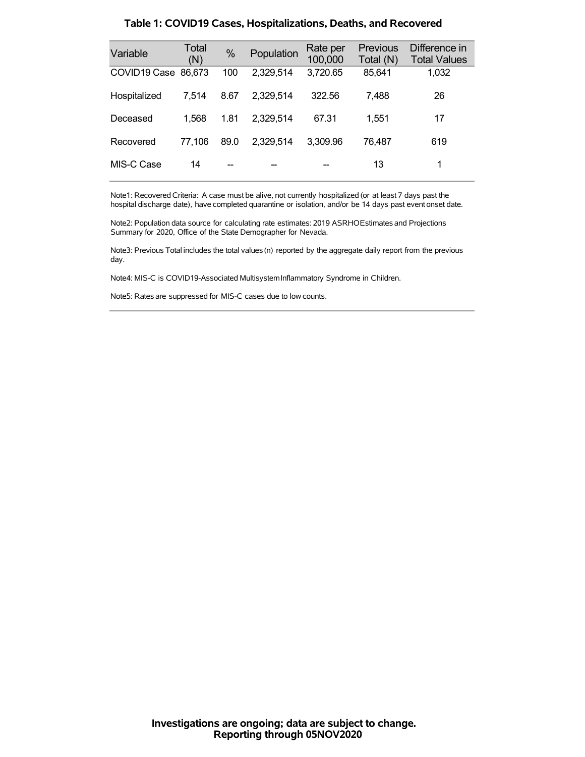| Variable            | Total<br>(N) | $\%$ | Population | Rate per<br>100,000 | <b>Previous</b><br>Total (N) | Difference in<br><b>Total Values</b> |
|---------------------|--------------|------|------------|---------------------|------------------------------|--------------------------------------|
| COVID19 Case 86,673 |              | 100  | 2,329,514  | 3,720.65            | 85,641                       | 1,032                                |
| Hospitalized        | 7.514        | 8.67 | 2.329.514  | 322.56              | 7.488                        | 26                                   |
| Deceased            | 1,568        | 1.81 | 2,329,514  | 67.31               | 1,551                        | 17                                   |
| Recovered           | 77.106       | 89.0 | 2.329.514  | 3,309.96            | 76,487                       | 619                                  |
| MIS-C Case          | 14           |      |            |                     | 13                           |                                      |

#### **Table 1: COVID19 Cases, Hospitalizations, Deaths, and Recovered**

Note1: Recovered Criteria: A case must be alive, not currently hospitalized (or at least 7 days past the hospital discharge date), have completed quarantine or isolation, and/or be 14 days past event onset date.

Note2: Population data source for calculating rate estimates: 2019 ASRHOEstimates and Projections Summary for 2020, Office of the State Demographer for Nevada.

Note3: Previous Total includes the total values(n) reported by the aggregate daily report from the previous day.

Note4: MIS-C is COVID19-Associated MultisystemInflammatory Syndrome in Children.

Note5: Rates are suppressed for MIS-C cases due to low counts.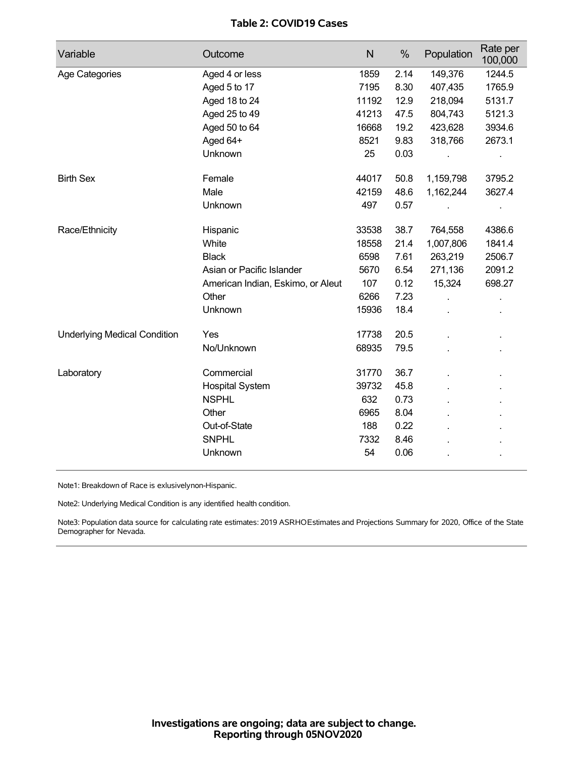# **Table 2: COVID19 Cases**

| Variable                            | Outcome                           | $\mathsf{N}$ | $\%$ | Population | Rate per<br>100,000 |
|-------------------------------------|-----------------------------------|--------------|------|------------|---------------------|
| Age Categories                      | Aged 4 or less                    | 1859         | 2.14 | 149,376    | 1244.5              |
|                                     | Aged 5 to 17                      | 7195         | 8.30 | 407,435    | 1765.9              |
|                                     | Aged 18 to 24                     | 11192        | 12.9 | 218,094    | 5131.7              |
|                                     | Aged 25 to 49                     | 41213        | 47.5 | 804,743    | 5121.3              |
|                                     | Aged 50 to 64                     | 16668        | 19.2 | 423,628    | 3934.6              |
|                                     | Aged 64+                          | 8521         | 9.83 | 318,766    | 2673.1              |
|                                     | Unknown                           | 25           | 0.03 |            |                     |
| <b>Birth Sex</b>                    | Female                            | 44017        | 50.8 | 1,159,798  | 3795.2              |
|                                     | Male                              | 42159        | 48.6 | 1,162,244  | 3627.4              |
|                                     | Unknown                           | 497          | 0.57 |            | ×,                  |
| Race/Ethnicity                      | Hispanic                          | 33538        | 38.7 | 764,558    | 4386.6              |
|                                     | White                             | 18558        | 21.4 | 1,007,806  | 1841.4              |
|                                     | <b>Black</b>                      | 6598         | 7.61 | 263,219    | 2506.7              |
|                                     | Asian or Pacific Islander         | 5670         | 6.54 | 271,136    | 2091.2              |
|                                     | American Indian, Eskimo, or Aleut | 107          | 0.12 | 15,324     | 698.27              |
|                                     | Other                             | 6266         | 7.23 |            |                     |
|                                     | Unknown                           | 15936        | 18.4 |            |                     |
| <b>Underlying Medical Condition</b> | Yes                               | 17738        | 20.5 |            | ×,                  |
|                                     | No/Unknown                        | 68935        | 79.5 |            |                     |
| Laboratory                          | Commercial                        | 31770        | 36.7 |            |                     |
|                                     | <b>Hospital System</b>            | 39732        | 45.8 |            |                     |
|                                     | <b>NSPHL</b>                      | 632          | 0.73 |            |                     |
|                                     | Other                             | 6965         | 8.04 |            |                     |
|                                     | Out-of-State                      | 188          | 0.22 |            |                     |
|                                     | <b>SNPHL</b>                      | 7332         | 8.46 |            |                     |
|                                     | Unknown                           | 54           | 0.06 |            |                     |

Note1: Breakdown of Race is exlusivelynon-Hispanic.

Note2: Underlying Medical Condition is any identified health condition.

Note3: Population data source for calculating rate estimates: 2019 ASRHOEstimates and Projections Summary for 2020, Office of the State Demographer for Nevada.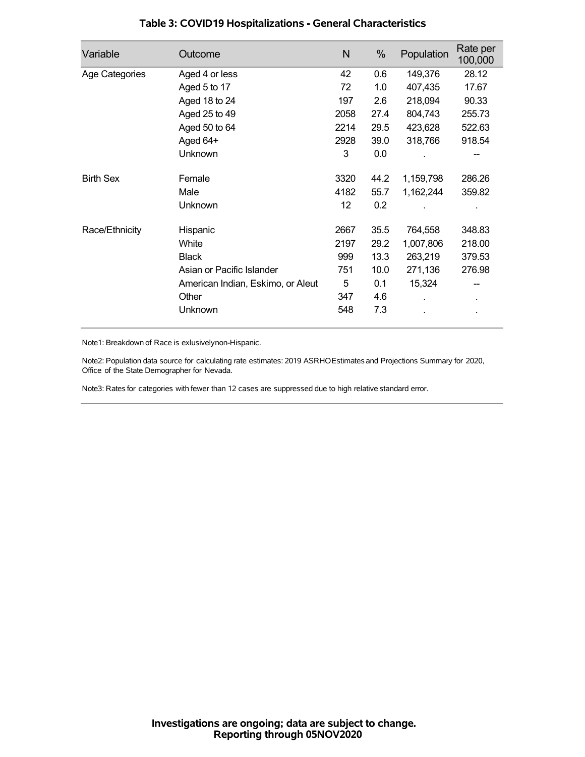| Variable         | Outcome                           | N    | %    | Population | Rate per<br>100,000 |
|------------------|-----------------------------------|------|------|------------|---------------------|
| Age Categories   | Aged 4 or less                    | 42   | 0.6  | 149,376    | 28.12               |
|                  | Aged 5 to 17                      | 72   | 1.0  | 407,435    | 17.67               |
|                  | Aged 18 to 24                     | 197  | 2.6  | 218,094    | 90.33               |
|                  | Aged 25 to 49                     | 2058 | 27.4 | 804,743    | 255.73              |
|                  | Aged 50 to 64                     | 2214 | 29.5 | 423,628    | 522.63              |
|                  | Aged 64+                          | 2928 | 39.0 | 318,766    | 918.54              |
|                  | Unknown                           | 3    | 0.0  |            |                     |
| <b>Birth Sex</b> | Female                            | 3320 | 44.2 | 1,159,798  | 286.26              |
|                  | Male                              | 4182 | 55.7 | 1,162,244  | 359.82              |
|                  | Unknown                           | 12   | 0.2  |            |                     |
| Race/Ethnicity   | Hispanic                          | 2667 | 35.5 | 764,558    | 348.83              |
|                  | White                             | 2197 | 29.2 | 1,007,806  | 218.00              |
|                  | <b>Black</b>                      | 999  | 13.3 | 263,219    | 379.53              |
|                  | Asian or Pacific Islander         | 751  | 10.0 | 271,136    | 276.98              |
|                  | American Indian, Eskimo, or Aleut | 5    | 0.1  | 15,324     |                     |
|                  | Other                             | 347  | 4.6  |            |                     |
|                  | Unknown                           | 548  | 7.3  |            |                     |

# **Table 3: COVID19 Hospitalizations - General Characteristics**

Note1: Breakdown of Race is exlusivelynon-Hispanic.

Note2: Population data source for calculating rate estimates: 2019 ASRHOEstimates and Projections Summary for 2020, Office of the State Demographer for Nevada.

Note3: Rates for categories with fewer than 12 cases are suppressed due to high relative standard error.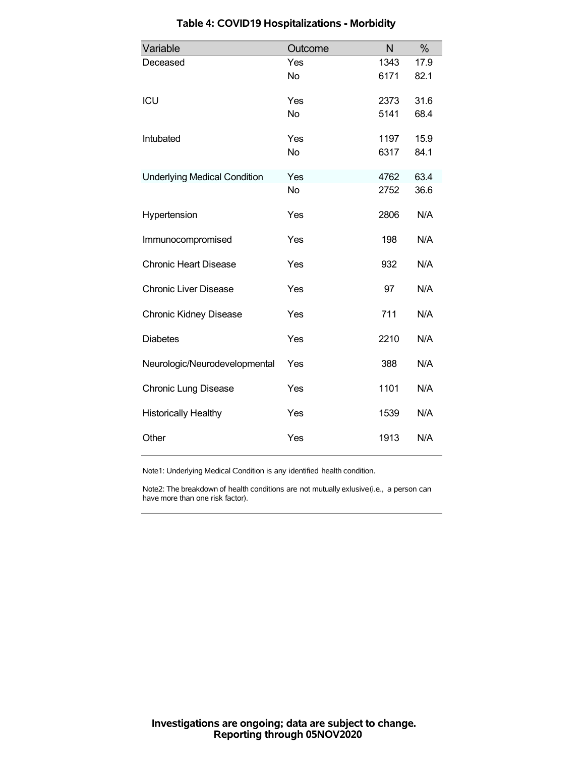| Variable                            | Outcome   | N    | %    |
|-------------------------------------|-----------|------|------|
| Deceased                            | Yes       | 1343 | 17.9 |
|                                     | <b>No</b> | 6171 | 82.1 |
| ICU                                 | Yes       | 2373 | 31.6 |
|                                     | <b>No</b> | 5141 | 68.4 |
| Intubated                           | Yes       | 1197 | 15.9 |
|                                     | <b>No</b> | 6317 | 84.1 |
| <b>Underlying Medical Condition</b> | Yes       | 4762 | 63.4 |
|                                     | <b>No</b> | 2752 | 36.6 |
| Hypertension                        | Yes       | 2806 | N/A  |
| Immunocompromised                   | Yes       | 198  | N/A  |
| <b>Chronic Heart Disease</b>        | Yes       | 932  | N/A  |
| <b>Chronic Liver Disease</b>        | Yes       | 97   | N/A  |
| <b>Chronic Kidney Disease</b>       | Yes       | 711  | N/A  |
| <b>Diabetes</b>                     | Yes       | 2210 | N/A  |
| Neurologic/Neurodevelopmental       | Yes       | 388  | N/A  |
| <b>Chronic Lung Disease</b>         | Yes       | 1101 | N/A  |
| <b>Historically Healthy</b>         | Yes       | 1539 | N/A  |
| Other                               | Yes       | 1913 | N/A  |

### **Table 4: COVID19 Hospitalizations - Morbidity**

Note1: Underlying Medical Condition is any identified health condition.

Note2: The breakdown of health conditions are not mutually exlusive(i.e., a person can have more than one risk factor).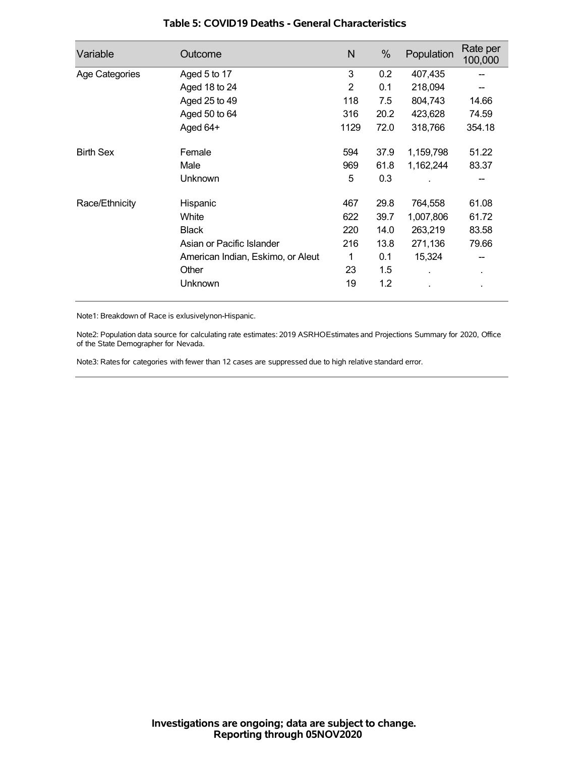| Variable         | Outcome                           | N    | %    | Population | Rate per<br>100,000 |
|------------------|-----------------------------------|------|------|------------|---------------------|
| Age Categories   | Aged 5 to 17                      | 3    | 0.2  | 407,435    |                     |
|                  | Aged 18 to 24                     | 2    | 0.1  | 218,094    |                     |
|                  | Aged 25 to 49                     | 118  | 7.5  | 804,743    | 14.66               |
|                  | Aged 50 to 64                     | 316  | 20.2 | 423,628    | 74.59               |
|                  | Aged 64+                          | 1129 | 72.0 | 318,766    | 354.18              |
| <b>Birth Sex</b> | Female                            | 594  | 37.9 | 1,159,798  | 51.22               |
|                  | Male                              | 969  | 61.8 | 1,162,244  | 83.37               |
|                  | Unknown                           | 5    | 0.3  |            |                     |
| Race/Ethnicity   | Hispanic                          | 467  | 29.8 | 764,558    | 61.08               |
|                  | White                             | 622  | 39.7 | 1,007,806  | 61.72               |
|                  | <b>Black</b>                      | 220  | 14.0 | 263,219    | 83.58               |
|                  | Asian or Pacific Islander         | 216  | 13.8 | 271,136    | 79.66               |
|                  | American Indian, Eskimo, or Aleut | 1    | 0.1  | 15,324     | --                  |
|                  | Other                             | 23   | 1.5  |            | ٠                   |
|                  | Unknown                           | 19   | 1.2  |            |                     |

#### **Table 5: COVID19 Deaths - General Characteristics**

Note1: Breakdown of Race is exlusivelynon-Hispanic.

Note2: Population data source for calculating rate estimates: 2019 ASRHOEstimates and Projections Summary for 2020, Office of the State Demographer for Nevada.

Note3: Rates for categories with fewer than 12 cases are suppressed due to high relative standard error.